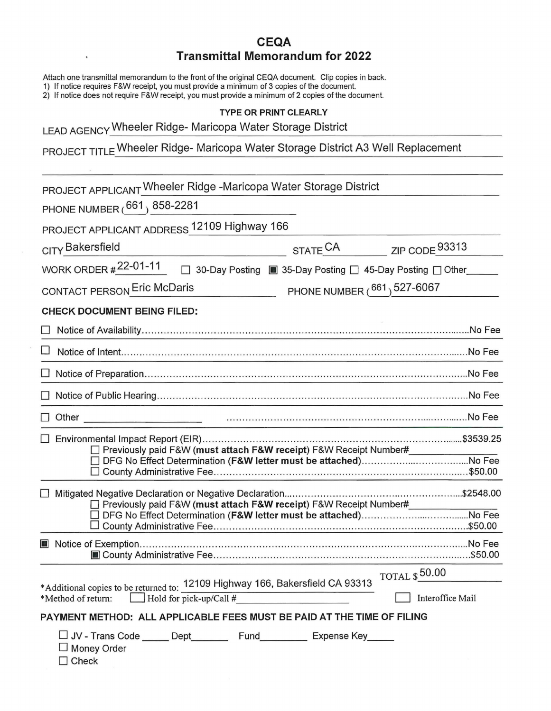## **CEQA Transmittal Memorandum for 2022**

Attach one transmittal memorandum to the front of the original CEQA document. Clip copies in back.

1) If notice requires F&W receipt, you must provide a minimum of 3 copies of the document.

2) If notice does not require F&W receipt, you must provide a minimum of 2 copies of the document.

## **TYPE OR PRINT CLEARLY**

LEAD AGENCY Wheeler Ridge- Maricopa Water Storage District

 $\tilde{\textbf{v}}$ 

PROJECT TITLE Wheeler Ridge- Maricopa Water Storage District A3 Well Replacement

| PROJECT APPLICANT Wheeler Ridge -Maricopa Water Storage District                                                 |                                                          |                                 |
|------------------------------------------------------------------------------------------------------------------|----------------------------------------------------------|---------------------------------|
| PHONE NUMBER $(^{661})$ 858-2281                                                                                 |                                                          |                                 |
| PROJECT APPLICANT ADDRESS 12109 Highway 166                                                                      |                                                          |                                 |
| CITY Bakersfield                                                                                                 | STATE <sup>CA</sup>                                      | ZIP CODE 93313                  |
| <b>WORK ORDER #22-01-11</b>                                                                                      | 30-Day Posting ■ 35-Day Posting □ 45-Day Posting □ Other |                                 |
| CONTACT PERSON Eric McDaris<br>PHONE NUMBER (661) 527-6067                                                       |                                                          |                                 |
| <b>CHECK DOCUMENT BEING FILED:</b>                                                                               |                                                          |                                 |
|                                                                                                                  |                                                          | No Fee                          |
|                                                                                                                  |                                                          |                                 |
|                                                                                                                  |                                                          |                                 |
|                                                                                                                  |                                                          |                                 |
| Other<br>and the control of the control of the control of the control of the control of                          |                                                          |                                 |
| □ Previously paid F&W (must attach F&W receipt) F&W Receipt Number#                                              |                                                          |                                 |
|                                                                                                                  |                                                          |                                 |
| □ Previously paid F&W (must attach F&W receipt) F&W Receipt Number#                                              |                                                          |                                 |
| J County Administrative Fee………………………………………………………………………………\$50.00                                                 |                                                          |                                 |
|                                                                                                                  |                                                          |                                 |
| *Additional copies to be returned to: 12109 Highway 166, Bakersfield CA 93313                                    |                                                          | $_{\rm TOTAL}$ $_{\rm S}$ 50.00 |
| $\Box$ Hold for pick-up/Call #<br>*Method of return:                                                             |                                                          | Interoffice Mail                |
| PAYMENT METHOD: ALL APPLICABLE FEES MUST BE PAID AT THE TIME OF FILING                                           |                                                          |                                 |
| □ JV - Trans Code ______ Dept___________ Fund___________ Expense Key______<br>$\Box$ Money Order<br>$\Box$ Check |                                                          |                                 |